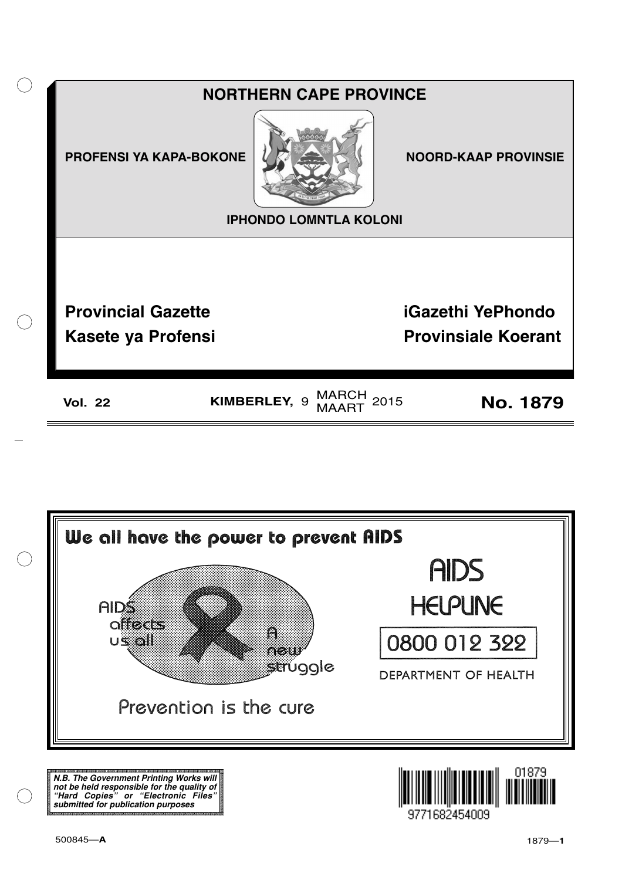



**N.B. The Government Printing Works will not be held responsible for the quality of "Hard Copies" or "Electronic Files" submitted for publication purposes**

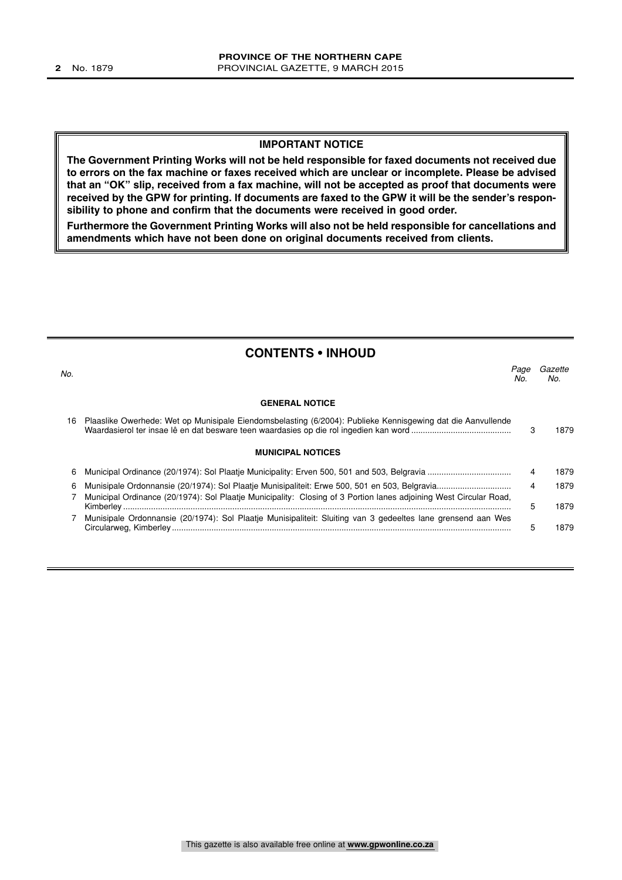#### **IMPORTANT NOTICE**

**The Government Printing Works will not be held responsible for faxed documents not received due to errors on the fax machine or faxes received which are unclear or incomplete. Please be advised that an "OK" slip, received from a fax machine, will not be accepted as proof that documents were received by the GPW for printing. If documents are faxed to the GPW it will be the sender's responsibility to phone and confirm that the documents were received in good order.**

**Furthermore the Government Printing Works will also not be held responsible for cancellations and amendments which have not been done on original documents received from clients.**

| <b>CONTENTS • INHOUD</b> |             |                                                                                                                                                                                                                                                                                                                                                                            |
|--------------------------|-------------|----------------------------------------------------------------------------------------------------------------------------------------------------------------------------------------------------------------------------------------------------------------------------------------------------------------------------------------------------------------------------|
|                          | Page<br>No. | Gazette<br>No.                                                                                                                                                                                                                                                                                                                                                             |
| <b>GENERAL NOTICE</b>    |             |                                                                                                                                                                                                                                                                                                                                                                            |
|                          |             | 1879                                                                                                                                                                                                                                                                                                                                                                       |
| <b>MUNICIPAL NOTICES</b> |             |                                                                                                                                                                                                                                                                                                                                                                            |
|                          |             | 1879                                                                                                                                                                                                                                                                                                                                                                       |
|                          |             | 1879                                                                                                                                                                                                                                                                                                                                                                       |
|                          |             | 1879                                                                                                                                                                                                                                                                                                                                                                       |
|                          |             | 1879                                                                                                                                                                                                                                                                                                                                                                       |
|                          |             | Plaaslike Owerhede: Wet op Munisipale Eiendomsbelasting (6/2004): Publieke Kennisgewing dat die Aanvullende<br>3<br>4<br>4<br>Municipal Ordinance (20/1974): Sol Plaatje Municipality: Closing of 3 Portion lanes adjoining West Circular Road,<br>5.<br>Munisipale Ordonnansie (20/1974): Sol Plaatje Munisipaliteit: Sluiting van 3 gedeeltes lane grensend aan Wes<br>5 |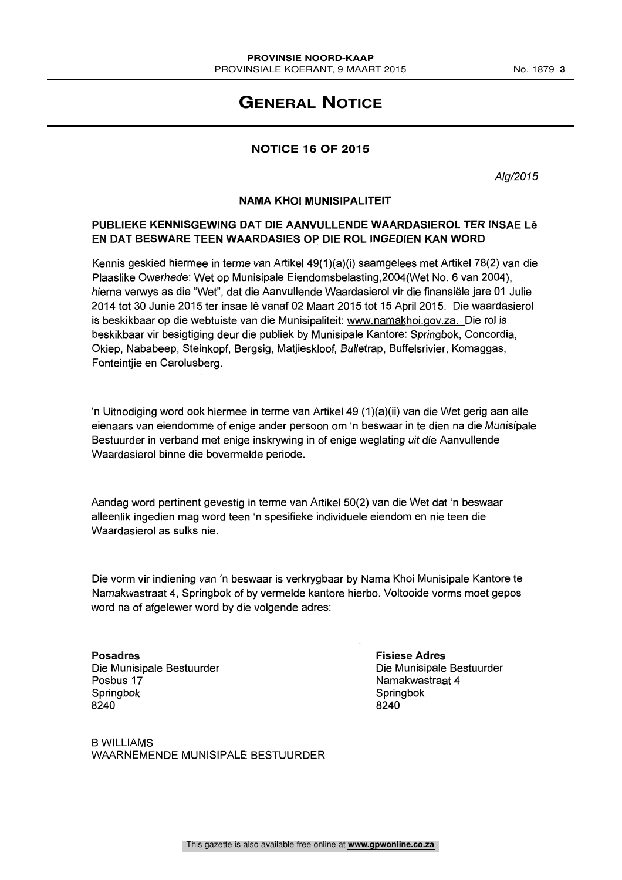# **GENERAL NOTICE**

# **NOTICE 16 OF 2015**

Alg/2015

#### NAMA KHOI MUNISIPALITEIT

# PUBLIEKE KENNISGEWING DAT DIE AANVULLENDE WAARDASIEROL TER INSAE Le EN DAT BESWARE TEEN WAARDASIES OP DIE ROL INGEDIEN KAN WORD

Kennis geskied hiermee in terme van Artikel 49(1)(a)(i) saamgelees met Artikel 78(2) van die Plaaslike Owerhede: Wet op Munisipale Eiendomsbelasting,2004(Wet No. 6 van 2004), hierna verwys as die "Wet", dat die Aanvullende Waardasierol vir die finansiele jare 01 Julie 2014 tot 30 Junie 2015 ter insae le vanaf 02 Maart 2015 tot 15 April 2015. Die waardasierol is beskikbaar op die webtuiste van die Munisipaliteit: www.namakhoi.qov.za. Die rol is beskikbaar vir besigtiging deur die publiek by Munisipale Kantore: Springbok, Concordia, Okiep, Nababeep, Steinkopf, Bergsig, Matjieskloof, Bulletrap, Buffelsrivier, Komaggas, Fonteintjie en Carolusberg.

`n Uitnodiging word ook hiermee in terme van Artikel 49 (1)(a)(ii) van die Wet gerig aan alle eienaars van eiendomme of enige ander persoon om 'n beswaar in te dien na die Munisipale Bestuurder in verband met enige inskrywing in of enige weglating uit die Aanvullende Waardasierol binne die bovermelde periode.

Aandag word pertinent gevestig in terme van Artikel 50(2) van die Wet dat 'n beswaar alleenlik ingedien mag word teen 'n spesifieke individuele eiendom en nie teen die Waardasierol as sulks nie.

Die vorm vir indiening van 'n beswaar is verkrygbaar by Nama Khoi Munisipale Kantore te Namakwastraat 4, Springbok of by vermelde kantore hierbo. Voltooide vorms moet gepos word na of afgelewer word by die volgende adres:

Posadres Die Munisipale Bestuurder Posbus 17 Springbok 8240

Fisiese Adres Die Munisipale Bestuurder Namakwastraat 4 Springbok 8240

B WILLIAMS WAARNEMENDE MUNISIPALE BESTUURDER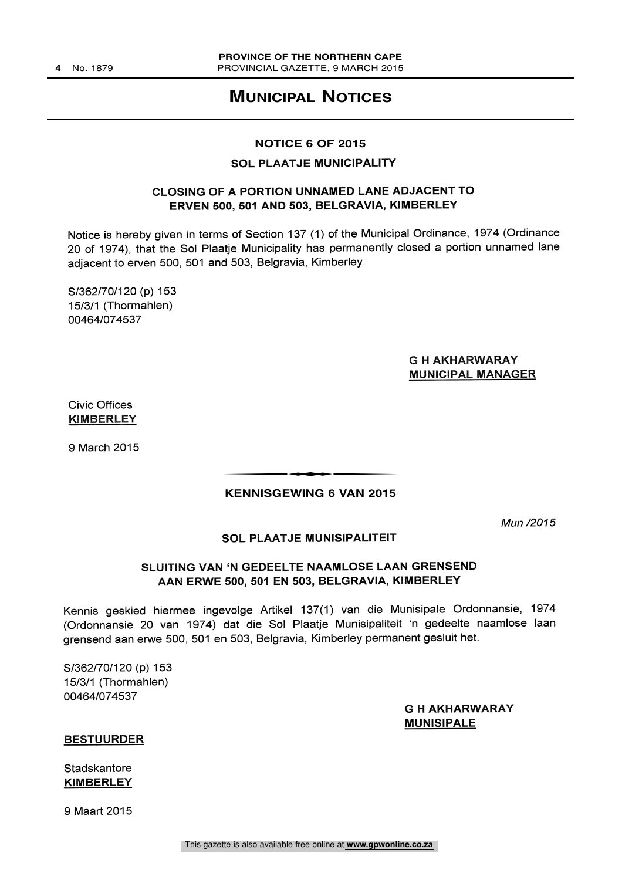# **MUNICIPAL NOTICES**

#### **NOTICE 6 OF 2015**

# SOL PLAATJE MUNICIPALITY

# CLOSING OF A PORTION UNNAMED LANE ADJACENT TO ERVEN 500, 501 AND 503, BELGRAVIA, KIMBERLEY

Notice is hereby given in terms of Section 137 (1) of the Municipal Ordinance, 1974 (Ordinance 20 of 1974), that the Sol Plaatje Municipality has permanently closed a portion unnamed lane adjacent to erven 500, 501 and 503, Belgravia, Kimberley.

S/362/70/120 (p) 153 15/3/1 (Thormahlen) 00464/074537

# G H AKHARWARAY MUNICIPAL MANAGER

Civic Offices **KIMBERLEY** 

9 March 2015

## t**KENNISGEWING 6 VAN 2015**

Mun /2015

#### SOL PLAATJE MUNISIPALITEIT

# SLUITING VAN 'N GEDEELTE NAAMLOSE LAAN GRENSEND AAN ERWE 500, 501 EN 503, BELGRAVIA, KIMBERLEY

Kennis geskied hiermee ingevolge Artikel 137(1) van die Munisipale Ordonnansie, 1974 (Ordonnansie 20 van 1974) dat die Sol Plaatje Munisipaliteit 'n gedeelte naamlose Iaan grensend aan erwe 500, 501 en 503, Belgravia, Kimberley permanent gesluit het.

S/362/70/120 (p) 153 15/3/1 (Thormahlen) 00464/074537

> G H AKHARWARAY **MUNISIPALE**

#### BESTUURDER

**Stadskantore KIMBERLEY** 

9 Maart 2015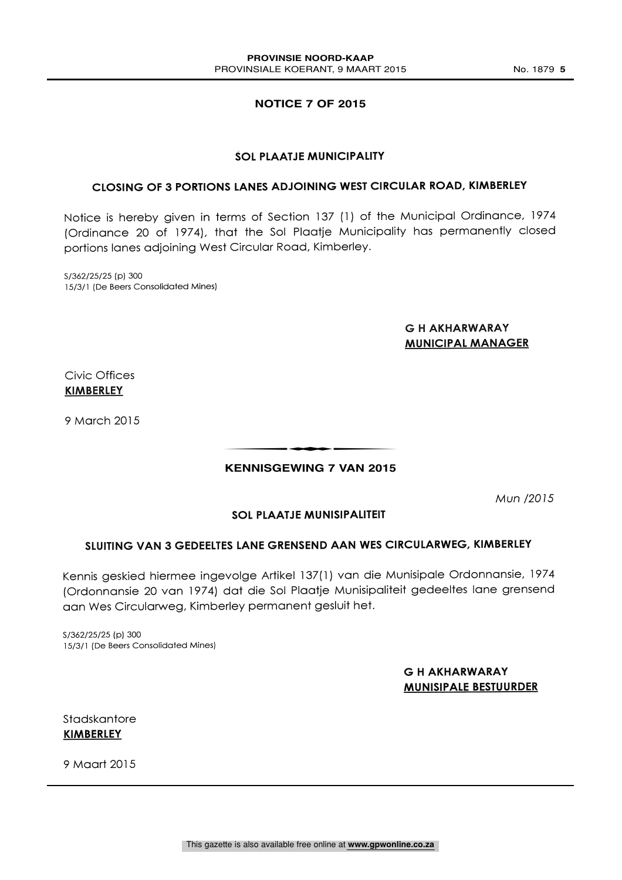# **NOTICE 7 OF 2015**

## SOL PLAATJE MUNICIPALITY

# CLOSING OF 3 PORTIONS LANES ADJOINING WEST CIRCULAR ROAD, KIMBERLEY

Notice is hereby given in terms of Section 137 (1) of the Municipal Ordinance, 1974 (Ordinance 20 of 1974), that the Sol Plaatje Municipality has permanently closed portions lanes adjoining West Circular Road, Kimberley.

S/362/25/25 (p) 300 15/3/1 (De Beers Consolidated Mines)

# G H AKHARWARAY MUNICIPAL MANAGER

Civic Offices **KIMBERLEY** 

9 March 2015

# t**KENNISGEWING 7 VAN 2015**

Mun /2015

# SOL PLAATJE MUNISIPALITEIT

# SLUITING VAN 3 GEDEELTES LANE GRENSEND AAN WES CIRCULARWEG, KIMBERLEY

Kennis geskied hiermee ingevolge Artikel 137(1) van die Munisipale Ordonnansie, 1974 (Ordonnansie 20 van 1974) dat die Sol Plaatje Munisipaliteit gedeeltes lane grensend aan Wes Circularweg, Kimberley permanent gesluit het.

S/362/25/25 (p) 300 15/3/1 (De Beers Consolidated Mines)

# G H AKHARWARAY MUNISIPALE BESTUURDER

Stadskantore KIMBERLEY

9 Maart 2015